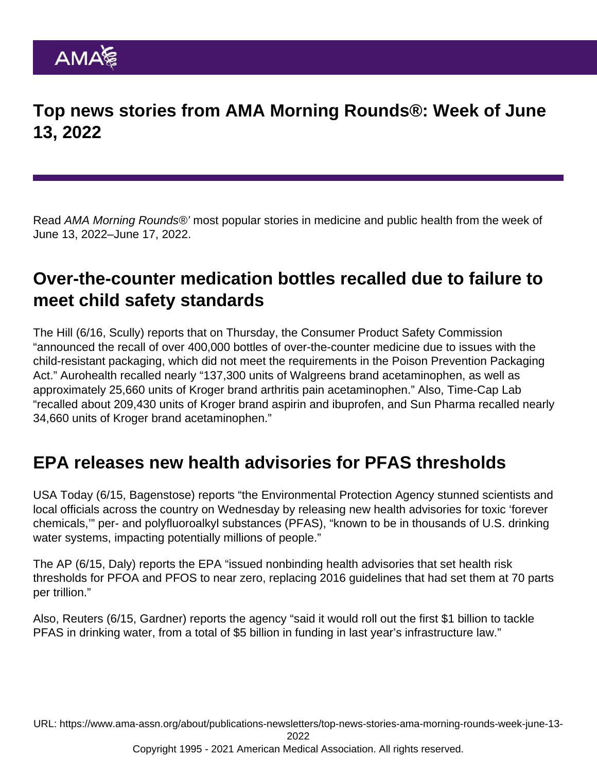Top news stories from AMA Morning Rounds®: Week of June 13, 2022

Read AMA Morning Rounds®' most popular stories in medicine and public health from the week of June 13, 2022–June 17, 2022.

## Over-the-counter medication bottles recalled due to failure to meet child safety standards

[The Hill](https://thehill.com/policy/healthcare/3527192-more-than-400000-bottles-of-over-the-counter-medication-recalled-due-to-issues-with-child-proofing/) (6/16, Scully) reports that on Thursday, the Consumer Product Safety Commission "announced the recall of over 400,000 bottles of over-the-counter medicine due to issues with the child-resistant packaging, which did not meet the requirements in the Poison Prevention Packaging Act." Aurohealth recalled nearly "137,300 units of Walgreens brand acetaminophen, as well as approximately 25,660 units of Kroger brand arthritis pain acetaminophen." Also, Time-Cap Lab "recalled about 209,430 units of Kroger brand aspirin and ibuprofen, and Sun Pharma recalled nearly 34,660 units of Kroger brand acetaminophen."

### EPA releases new health advisories for PFAS thresholds

[USA Today](https://www.usatoday.com/story/news/2022/06/15/epa-no-safe-level-toxic-pfas-thousands-water-systems/7632524001/?gnt-cfr=1) (6/15, Bagenstose) reports "the Environmental Protection Agency stunned scientists and local officials across the country on Wednesday by releasing new health advisories for toxic 'forever chemicals,'" per- and polyfluoroalkyl substances (PFAS), "known to be in thousands of U.S. drinking water systems, impacting potentially millions of people."

The [AP](https://apnews.com/article/politics-technology-science-government-and-politics-climate-and-environment-1997041096d6fc84edde97cf16f72bce) (6/15, Daly) reports the EPA "issued nonbinding health advisories that set health risk thresholds for PFOA and PFOS to near zero, replacing 2016 guidelines that had set them at 70 parts per trillion."

Also, [Reuters](https://www.reuters.com/business/environment/us-issues-new-warnings-forever-chemicals-drinking-water-2022-06-15/) (6/15, Gardner) reports the agency "said it would roll out the first \$1 billion to tackle PFAS in drinking water, from a total of \$5 billion in funding in last year's infrastructure law."

URL: [https://www.ama-assn.org/about/publications-newsletters/top-news-stories-ama-morning-rounds-week-june-13-](https://www.ama-assn.org/about/publications-newsletters/top-news-stories-ama-morning-rounds-week-june-13-2022)

[2022](https://www.ama-assn.org/about/publications-newsletters/top-news-stories-ama-morning-rounds-week-june-13-2022)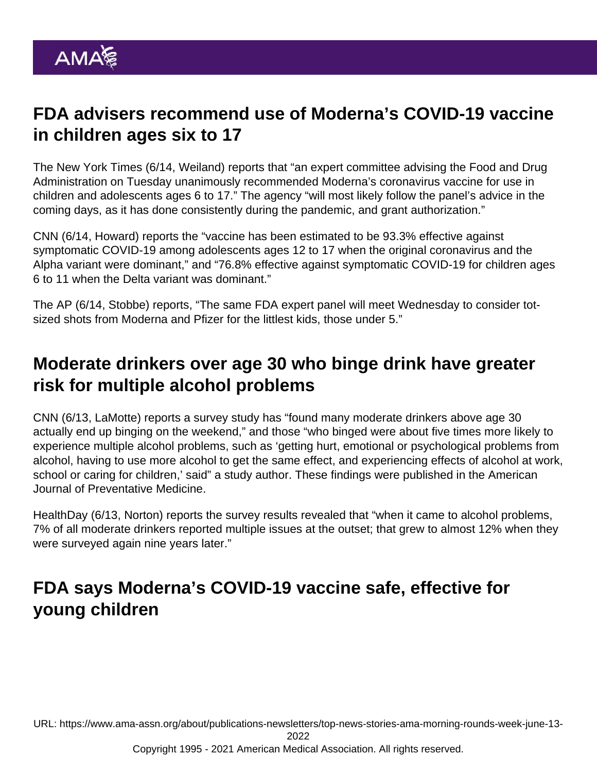# FDA advisers recommend use of Moderna's COVID-19 vaccine in children ages six to 17

The [New York Times](https://www.nytimes.com/live/2022/06/14/world/covid-19-mandates-vaccine-cases) (6/14, Weiland) reports that "an expert committee advising the Food and Drug Administration on Tuesday unanimously recommended Moderna's coronavirus vaccine for use in children and adolescents ages 6 to 17." The agency "will most likely follow the panel's advice in the coming days, as it has done consistently during the pandemic, and grant authorization."

[CNN](https://www.cnn.com/2022/06/14/health/moderna-vaccine-for-teens-kids-fda-vrbpac/index.html) (6/14, Howard) reports the "vaccine has been estimated to be 93.3% effective against symptomatic COVID-19 among adolescents ages 12 to 17 when the original coronavirus and the Alpha variant were dominant," and "76.8% effective against symptomatic COVID-19 for children ages 6 to 11 when the Delta variant was dominant."

The [AP](https://apnews.com/article/covid-science-health-316714ee5cc37b87def488c41877ce38) (6/14, Stobbe) reports, "The same FDA expert panel will meet Wednesday to consider totsized shots from Moderna and Pfizer for the littlest kids, those under 5."

### Moderate drinkers over age 30 who binge drink have greater risk for multiple alcohol problems

[CNN](https://www.cnn.com/2022/06/13/health/moderate-drinkers-binge-wellness/index.html) (6/13, LaMotte) reports a survey study has "found many moderate drinkers above age 30 actually end up binging on the weekend," and those "who binged were about five times more likely to experience multiple alcohol problems, such as 'getting hurt, emotional or psychological problems from alcohol, having to use more alcohol to get the same effect, and experiencing effects of alcohol at work, school or caring for children,' said" a study author. These [findings](https://www.ajpmonline.org/article/S0749-3797(22)00178-7/fulltext) were published in the American Journal of Preventative Medicine.

[HealthDay](https://consumer.healthday.com/6-13-occasional-binge-drinking-may-not-be-as-harmless-as-you-think-2657475347.html) (6/13, Norton) reports the survey results revealed that "when it came to alcohol problems, 7% of all moderate drinkers reported multiple issues at the outset; that grew to almost 12% when they were surveyed again nine years later."

# FDA says Moderna's COVID-19 vaccine safe, effective for young children

URL: [https://www.ama-assn.org/about/publications-newsletters/top-news-stories-ama-morning-rounds-week-june-13-](https://www.ama-assn.org/about/publications-newsletters/top-news-stories-ama-morning-rounds-week-june-13-2022)

[2022](https://www.ama-assn.org/about/publications-newsletters/top-news-stories-ama-morning-rounds-week-june-13-2022)